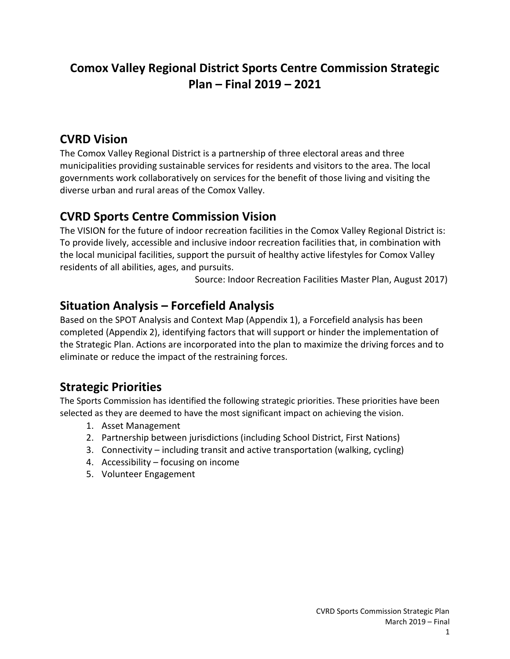# **Comox Valley Regional District Sports Centre Commission Strategic Plan – Final 2019 – 2021**

#### **CVRD Vision**

The Comox Valley Regional District is a partnership of three electoral areas and three municipalities providing sustainable services for residents and visitors to the area. The local governments work collaboratively on services for the benefit of those living and visiting the diverse urban and rural areas of the Comox Valley.

## **CVRD Sports Centre Commission Vision**

The VISION for the future of indoor recreation facilities in the Comox Valley Regional District is: To provide lively, accessible and inclusive indoor recreation facilities that, in combination with the local municipal facilities, support the pursuit of healthy active lifestyles for Comox Valley residents of all abilities, ages, and pursuits.

Source: Indoor Recreation Facilities Master Plan, August 2017)

### **Situation Analysis – Forcefield Analysis**

Based on the SPOT Analysis and Context Map (Appendix 1), a Forcefield analysis has been completed (Appendix 2), identifying factors that will support or hinder the implementation of the Strategic Plan. Actions are incorporated into the plan to maximize the driving forces and to eliminate or reduce the impact of the restraining forces.

### **Strategic Priorities**

The Sports Commission has identified the following strategic priorities. These priorities have been selected as they are deemed to have the most significant impact on achieving the vision.

- 1. Asset Management
- 2. Partnership between jurisdictions (including School District, First Nations)
- 3. Connectivity including transit and active transportation (walking, cycling)
- 4. Accessibility focusing on income
- 5. Volunteer Engagement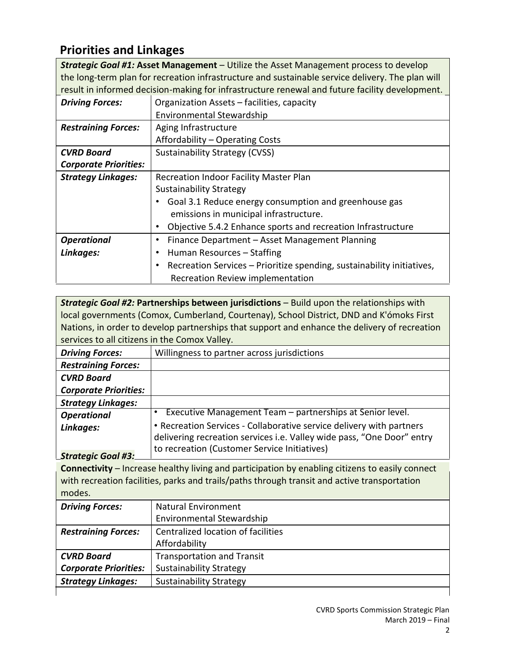#### **Priorities and Linkages**

| <b>Strategic Goal #1: Asset Management – Utilize the Asset Management process to develop</b><br>the long-term plan for recreation infrastructure and sustainable service delivery. The plan will |                                                                             |  |
|--------------------------------------------------------------------------------------------------------------------------------------------------------------------------------------------------|-----------------------------------------------------------------------------|--|
| result in informed decision-making for infrastructure renewal and future facility development.                                                                                                   |                                                                             |  |
| <b>Driving Forces:</b>                                                                                                                                                                           | Organization Assets - facilities, capacity                                  |  |
|                                                                                                                                                                                                  | <b>Environmental Stewardship</b>                                            |  |
| <b>Restraining Forces:</b>                                                                                                                                                                       | Aging Infrastructure                                                        |  |
|                                                                                                                                                                                                  | Affordability – Operating Costs                                             |  |
| <b>CVRD Board</b>                                                                                                                                                                                | <b>Sustainability Strategy (CVSS)</b>                                       |  |
| <b>Corporate Priorities:</b>                                                                                                                                                                     |                                                                             |  |
| <b>Strategy Linkages:</b>                                                                                                                                                                        | Recreation Indoor Facility Master Plan                                      |  |
|                                                                                                                                                                                                  | <b>Sustainability Strategy</b>                                              |  |
|                                                                                                                                                                                                  | Goal 3.1 Reduce energy consumption and greenhouse gas                       |  |
|                                                                                                                                                                                                  | emissions in municipal infrastructure.                                      |  |
|                                                                                                                                                                                                  | Objective 5.4.2 Enhance sports and recreation Infrastructure<br>٠           |  |
| <b>Operational</b>                                                                                                                                                                               | Finance Department - Asset Management Planning<br>٠                         |  |
| Linkages:                                                                                                                                                                                        | Human Resources - Staffing                                                  |  |
|                                                                                                                                                                                                  | Recreation Services – Prioritize spending, sustainability initiatives,<br>٠ |  |
|                                                                                                                                                                                                  | Recreation Review implementation                                            |  |

*Strategic Goal #2:* **Partnerships between jurisdictions** – Build upon the relationships with local governments (Comox, Cumberland, Courtenay), School District, DND and K'ómoks First Nations, in order to develop partnerships that support and enhance the delivery of recreation services to all citizens in the Comox Valley.

| <b>Driving Forces:</b>                                                                          | Willingness to partner across jurisdictions                            |  |
|-------------------------------------------------------------------------------------------------|------------------------------------------------------------------------|--|
| <b>Restraining Forces:</b>                                                                      |                                                                        |  |
| <b>CVRD Board</b>                                                                               |                                                                        |  |
| <b>Corporate Priorities:</b>                                                                    |                                                                        |  |
| <b>Strategy Linkages:</b>                                                                       |                                                                        |  |
| <b>Operational</b>                                                                              | Executive Management Team – partnerships at Senior level.<br>٠         |  |
| Linkages:                                                                                       | • Recreation Services - Collaborative service delivery with partners   |  |
|                                                                                                 | delivering recreation services i.e. Valley wide pass, "One Door" entry |  |
| <b>Strategic Goal #3:</b>                                                                       | to recreation (Customer Service Initiatives)                           |  |
| Connectivity - Increase healthy living and participation by enabling citizens to easily connect |                                                                        |  |
| with recreation facilities, parks and trails/paths through transit and active transportation    |                                                                        |  |
| modes.                                                                                          |                                                                        |  |
| <b>Driving Forces:</b>                                                                          | <b>Natural Environment</b>                                             |  |
|                                                                                                 | Environmental Stewardship                                              |  |
|                                                                                                 | <b>Centralized location of facilities</b>                              |  |
| <b>Restraining Forces:</b>                                                                      |                                                                        |  |
|                                                                                                 | Affordability                                                          |  |
| <b>CVRD Board</b>                                                                               | <b>Transportation and Transit</b>                                      |  |
| <b>Corporate Priorities:</b>                                                                    | <b>Sustainability Strategy</b>                                         |  |

**Strategy Linkages:** Sustainability Strategy